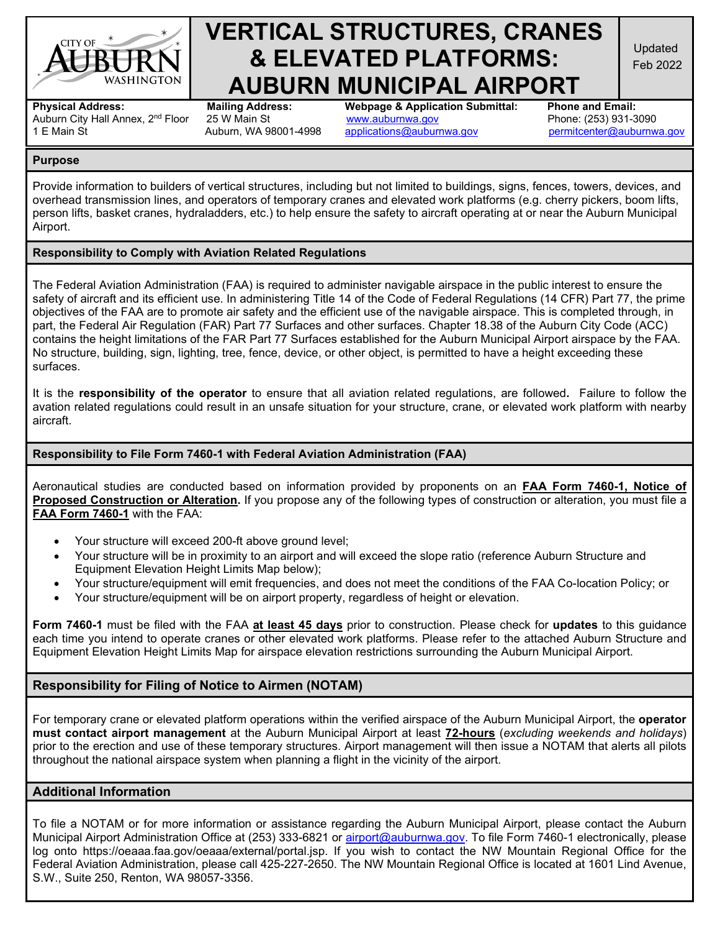

# **VERTICAL STRUCTURES, CRANES & ELEVATED PLATFORMS: AUBURN MUNICIPAL AIRPORT**<br>Mailing Address: Webpage & Application Submittal: Phone and Email:

Updated Feb 2022

Auburn City Hall Annex, 2<sup>nd</sup> Floor 25 W Main St<br>1 E Main St Auburn. WA 98001-4998

**Physical Address: Mailing Address: Webpage & Application Submittal: Phone and Email:** [applications@auburnwa.gov](mailto:applications@auburnwa.gov) [permitcenter@auburnwa.gov](mailto:permitcenter@auburnwa.gov)

#### **Purpose**

Provide information to builders of vertical structures, including but not limited to buildings, signs, fences, towers, devices, and overhead transmission lines, and operators of temporary cranes and elevated work platforms (e.g. cherry pickers, boom lifts, person lifts, basket cranes, hydraladders, etc.) to help ensure the safety to aircraft operating at or near the Auburn Municipal Airport.

## **Responsibility to Comply with Aviation Related Regulations**

The Federal Aviation Administration (FAA) is required to administer navigable airspace in the public interest to ensure the safety of aircraft and its efficient use. In administering Title 14 of the Code of Federal Regulations (14 CFR) Part 77, the prime objectives of the FAA are to promote air safety and the efficient use of the navigable airspace. This is completed through, in part, the Federal Air Regulation (FAR) Part 77 Surfaces and other surfaces. Chapter 18.38 of the Auburn City Code (ACC) contains the height limitations of the FAR Part 77 Surfaces established for the Auburn Municipal Airport airspace by the FAA. No structure, building, sign, lighting, tree, fence, device, or other object, is permitted to have a height exceeding these surfaces.

It is the **responsibility of the operator** to ensure that all aviation related regulations, are followed**.** Failure to follow the avation related regulations could result in an unsafe situation for your structure, crane, or elevated work platform with nearby aircraft.

#### **Responsibility to File Form 7460-1 with Federal Aviation Administration (FAA)**

Aeronautical studies are conducted based on information provided by proponents on an **[FAA Form 7460-1,](https://oeaaa.faa.gov/oeaaa/external/portal.jsp) Notice of Proposed Construction or Alteration.** If you propose any of the following types of construction or alteration, you must file a **[FAA Form 7460-1](https://oeaaa.faa.gov/oeaaa/external/portal.jsp)** with the FAA:

- Your structure will exceed 200-ft above ground level;
- Your structure will be in proximity to an airport and will exceed the slope ratio (reference Auburn Structure and Equipment Elevation Height Limits Map below);
- Your structure/equipment will emit frequencies, and does not meet the conditions of the FAA Co-location Policy; or
- Your structure/equipment will be on airport property, regardless of height or elevation.

**[Form 7460-1](https://oeaaa.faa.gov/oeaaa/external/portal.jsp)** must be filed with the FAA **at least 45 days** prior to construction. Please check for **[updates](https://www.faa.gov/uas/)** to this guidance each time you intend to operate cranes or other elevated work platforms. Please refer to the attached Auburn Structure and Equipment Elevation Height Limits Map for airspace elevation restrictions surrounding the Auburn Municipal Airport.

# **Responsibility for Filing of Notice to Airmen (NOTAM)**

For temporary crane or elevated platform operations within the verified airspace of the Auburn Municipal Airport, the **operator must contact airport management** at the Auburn Municipal Airport at least **72-hours** (*excluding weekends and holidays*) prior to the erection and use of these temporary structures. Airport management will then issue a NOTAM that alerts all pilots throughout the national airspace system when planning a flight in the vicinity of the airport.

## **Additional Information**

To file a NOTAM or for more information or assistance regarding the Auburn Municipal Airport, please contact the Auburn Municipal Airport Administration Office at [\(253\) 333-6821](tel:2533336821) or [airport@auburnwa.gov.](mailto:airport@auburnwa.gov) To file Form 7460-1 electronically, please log onto [https://oeaaa.faa.gov/oeaaa/external/portal.jsp.](https://oeaaa.faa.gov/oeaaa/external/portal.jsp) If you wish to contact the NW Mountain Regional Office for the Federal Aviation Administration, please call 425-227-2650. The NW Mountain Regional Office is located at 1601 Lind Avenue, S.W., Suite 250, Renton, WA 98057-3356.